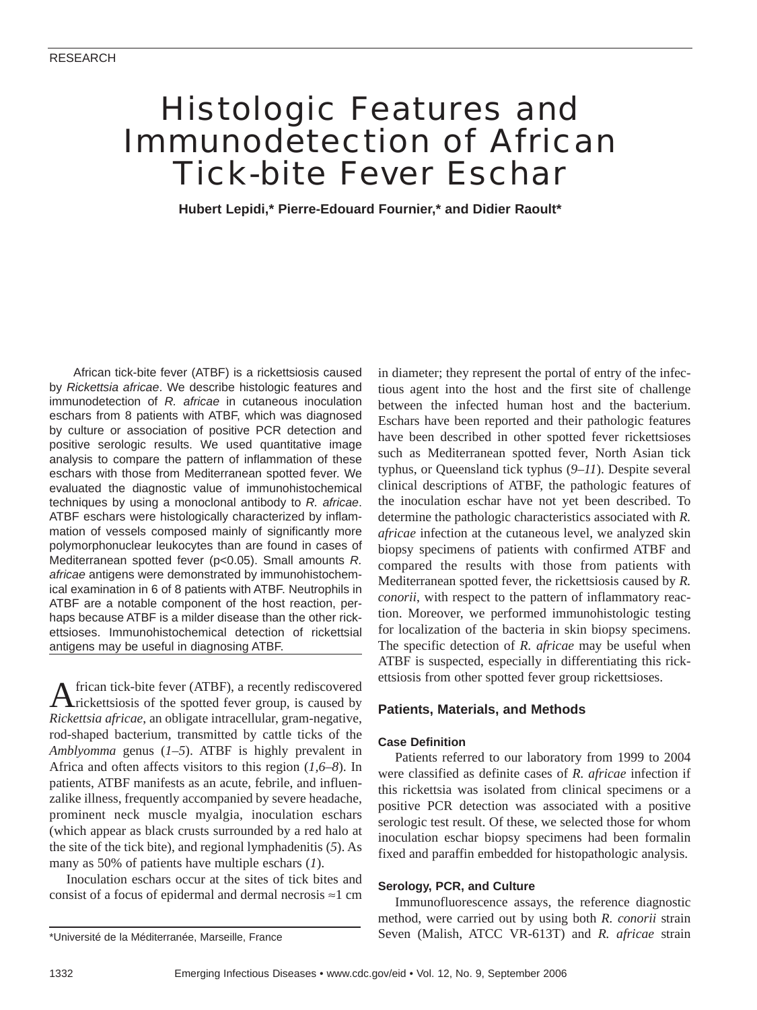# Histologic Features and Immunodetection of African Tick-bite Fever Eschar

**Hubert Lepidi,\* Pierre-Edouard Fournier,\* and Didier Raoult\***

African tick-bite fever (ATBF) is a rickettsiosis caused by *Rickettsia africae*. We describe histologic features and immunodetection of *R. africae* in cutaneous inoculation eschars from 8 patients with ATBF, which was diagnosed by culture or association of positive PCR detection and positive serologic results. We used quantitative image analysis to compare the pattern of inflammation of these eschars with those from Mediterranean spotted fever. We evaluated the diagnostic value of immunohistochemical techniques by using a monoclonal antibody to *R. africae*. ATBF eschars were histologically characterized by inflammation of vessels composed mainly of significantly more polymorphonuclear leukocytes than are found in cases of Mediterranean spotted fever (p<0.05). Small amounts *R. africae* antigens were demonstrated by immunohistochemical examination in 6 of 8 patients with ATBF. Neutrophils in ATBF are a notable component of the host reaction, perhaps because ATBF is a milder disease than the other rickettsioses. Immunohistochemical detection of rickettsial antigens may be useful in diagnosing ATBF.

African tick-bite fever (ATBF), a recently rediscovered rickettsiosis of the spotted fever group, is caused by *Rickettsia africae*, an obligate intracellular, gram-negative, rod-shaped bacterium, transmitted by cattle ticks of the *Amblyomma* genus (*1–5*). ATBF is highly prevalent in Africa and often affects visitors to this region (*1,6–8*). In patients, ATBF manifests as an acute, febrile, and influenzalike illness, frequently accompanied by severe headache, prominent neck muscle myalgia, inoculation eschars (which appear as black crusts surrounded by a red halo at the site of the tick bite), and regional lymphadenitis (*5*). As many as 50% of patients have multiple eschars (*1*).

Inoculation eschars occur at the sites of tick bites and consist of a focus of epidermal and dermal necrosis ≈1 cm in diameter; they represent the portal of entry of the infectious agent into the host and the first site of challenge between the infected human host and the bacterium. Eschars have been reported and their pathologic features have been described in other spotted fever rickettsioses such as Mediterranean spotted fever, North Asian tick typhus, or Queensland tick typhus (*9–11*). Despite several clinical descriptions of ATBF, the pathologic features of the inoculation eschar have not yet been described. To determine the pathologic characteristics associated with *R. africae* infection at the cutaneous level, we analyzed skin biopsy specimens of patients with confirmed ATBF and compared the results with those from patients with Mediterranean spotted fever, the rickettsiosis caused by *R. conorii*, with respect to the pattern of inflammatory reaction. Moreover, we performed immunohistologic testing for localization of the bacteria in skin biopsy specimens. The specific detection of *R. africae* may be useful when ATBF is suspected, especially in differentiating this rickettsiosis from other spotted fever group rickettsioses.

#### **Patients, Materials, and Methods**

#### **Case Definition**

Patients referred to our laboratory from 1999 to 2004 were classified as definite cases of *R. africae* infection if this rickettsia was isolated from clinical specimens or a positive PCR detection was associated with a positive serologic test result. Of these, we selected those for whom inoculation eschar biopsy specimens had been formalin fixed and paraffin embedded for histopathologic analysis.

#### **Serology, PCR, and Culture**

Immunofluorescence assays, the reference diagnostic method, were carried out by using both *R. conorii* strain Seven (Malish, ATCC VR-613T) and *R. africae* strain

<sup>\*</sup>Université de la Méditerranée, Marseille, France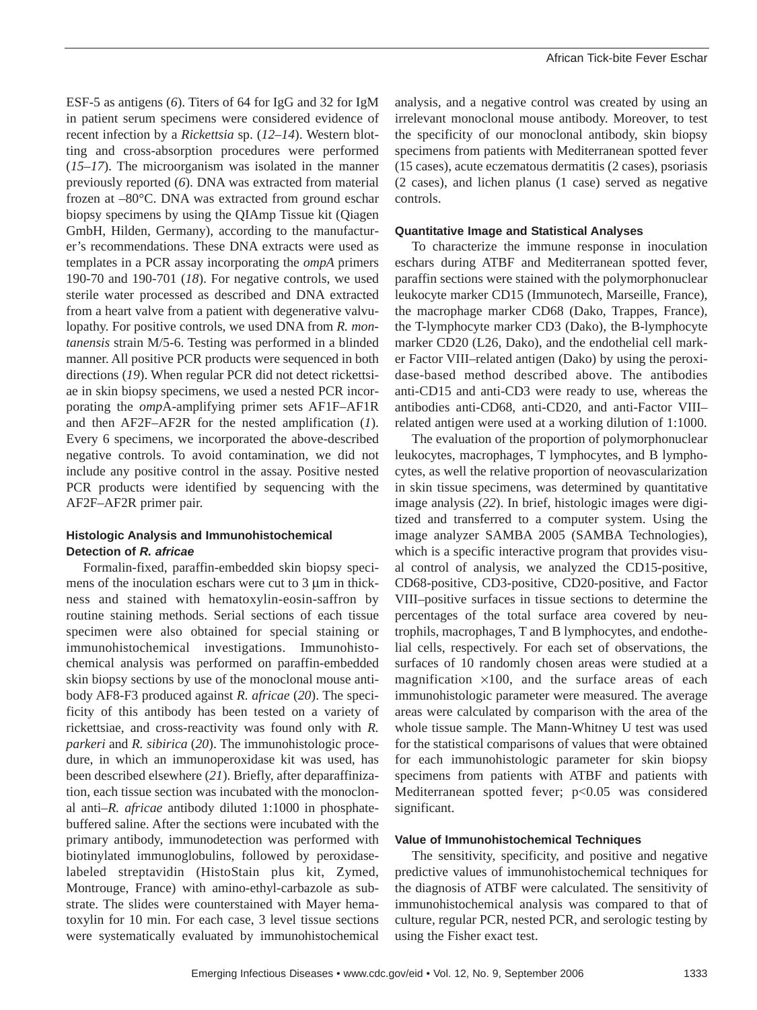ESF-5 as antigens (*6*). Titers of 64 for IgG and 32 for IgM in patient serum specimens were considered evidence of recent infection by a *Rickettsia* sp. (*12–14*). Western blotting and cross-absorption procedures were performed (*15–17*). The microorganism was isolated in the manner previously reported (*6*). DNA was extracted from material frozen at –80°C. DNA was extracted from ground eschar biopsy specimens by using the QIAmp Tissue kit (Qiagen GmbH, Hilden, Germany), according to the manufacturer's recommendations. These DNA extracts were used as templates in a PCR assay incorporating the *ompA* primers 190-70 and 190-701 (*18*). For negative controls, we used sterile water processed as described and DNA extracted from a heart valve from a patient with degenerative valvulopathy. For positive controls, we used DNA from *R. montanensis* strain M/5-6. Testing was performed in a blinded manner. All positive PCR products were sequenced in both directions (*19*). When regular PCR did not detect rickettsiae in skin biopsy specimens, we used a nested PCR incorporating the *omp*A-amplifying primer sets AF1F–AF1R and then AF2F–AF2R for the nested amplification (*1*). Every 6 specimens, we incorporated the above-described negative controls. To avoid contamination, we did not include any positive control in the assay. Positive nested PCR products were identified by sequencing with the AF2F–AF2R primer pair.

## **Histologic Analysis and Immunohistochemical Detection of** *R. africae*

Formalin-fixed, paraffin-embedded skin biopsy specimens of the inoculation eschars were cut to  $3 \mu m$  in thickness and stained with hematoxylin-eosin-saffron by routine staining methods. Serial sections of each tissue specimen were also obtained for special staining or immunohistochemical investigations. Immunohistochemical analysis was performed on paraffin-embedded skin biopsy sections by use of the monoclonal mouse antibody AF8-F3 produced against *R. africae* (*20*). The specificity of this antibody has been tested on a variety of rickettsiae, and cross-reactivity was found only with *R. parkeri* and *R. sibirica* (*20*). The immunohistologic procedure, in which an immunoperoxidase kit was used, has been described elsewhere (*21*). Briefly, after deparaffinization, each tissue section was incubated with the monoclonal anti–*R. africae* antibody diluted 1:1000 in phosphatebuffered saline. After the sections were incubated with the primary antibody, immunodetection was performed with biotinylated immunoglobulins, followed by peroxidaselabeled streptavidin (HistoStain plus kit, Zymed, Montrouge, France) with amino-ethyl-carbazole as substrate. The slides were counterstained with Mayer hematoxylin for 10 min. For each case, 3 level tissue sections were systematically evaluated by immunohistochemical

analysis, and a negative control was created by using an irrelevant monoclonal mouse antibody. Moreover, to test the specificity of our monoclonal antibody, skin biopsy specimens from patients with Mediterranean spotted fever (15 cases), acute eczematous dermatitis (2 cases), psoriasis (2 cases), and lichen planus (1 case) served as negative controls.

#### **Quantitative Image and Statistical Analyses**

To characterize the immune response in inoculation eschars during ATBF and Mediterranean spotted fever, paraffin sections were stained with the polymorphonuclear leukocyte marker CD15 (Immunotech, Marseille, France), the macrophage marker CD68 (Dako, Trappes, France), the T-lymphocyte marker CD3 (Dako), the B-lymphocyte marker CD20 (L26, Dako), and the endothelial cell marker Factor VIII–related antigen (Dako) by using the peroxidase-based method described above. The antibodies anti-CD15 and anti-CD3 were ready to use, whereas the antibodies anti-CD68, anti-CD20, and anti-Factor VIII– related antigen were used at a working dilution of 1:1000.

The evaluation of the proportion of polymorphonuclear leukocytes, macrophages, T lymphocytes, and B lymphocytes, as well the relative proportion of neovascularization in skin tissue specimens, was determined by quantitative image analysis (*22*). In brief, histologic images were digitized and transferred to a computer system. Using the image analyzer SAMBA 2005 (SAMBA Technologies), which is a specific interactive program that provides visual control of analysis, we analyzed the CD15-positive, CD68-positive, CD3-positive, CD20-positive, and Factor VIII–positive surfaces in tissue sections to determine the percentages of the total surface area covered by neutrophils, macrophages, T and B lymphocytes, and endothelial cells, respectively. For each set of observations, the surfaces of 10 randomly chosen areas were studied at a magnification  $\times$ 100, and the surface areas of each immunohistologic parameter were measured. The average areas were calculated by comparison with the area of the whole tissue sample. The Mann-Whitney U test was used for the statistical comparisons of values that were obtained for each immunohistologic parameter for skin biopsy specimens from patients with ATBF and patients with Mediterranean spotted fever; p<0.05 was considered significant.

#### **Value of Immunohistochemical Techniques**

The sensitivity, specificity, and positive and negative predictive values of immunohistochemical techniques for the diagnosis of ATBF were calculated. The sensitivity of immunohistochemical analysis was compared to that of culture, regular PCR, nested PCR, and serologic testing by using the Fisher exact test.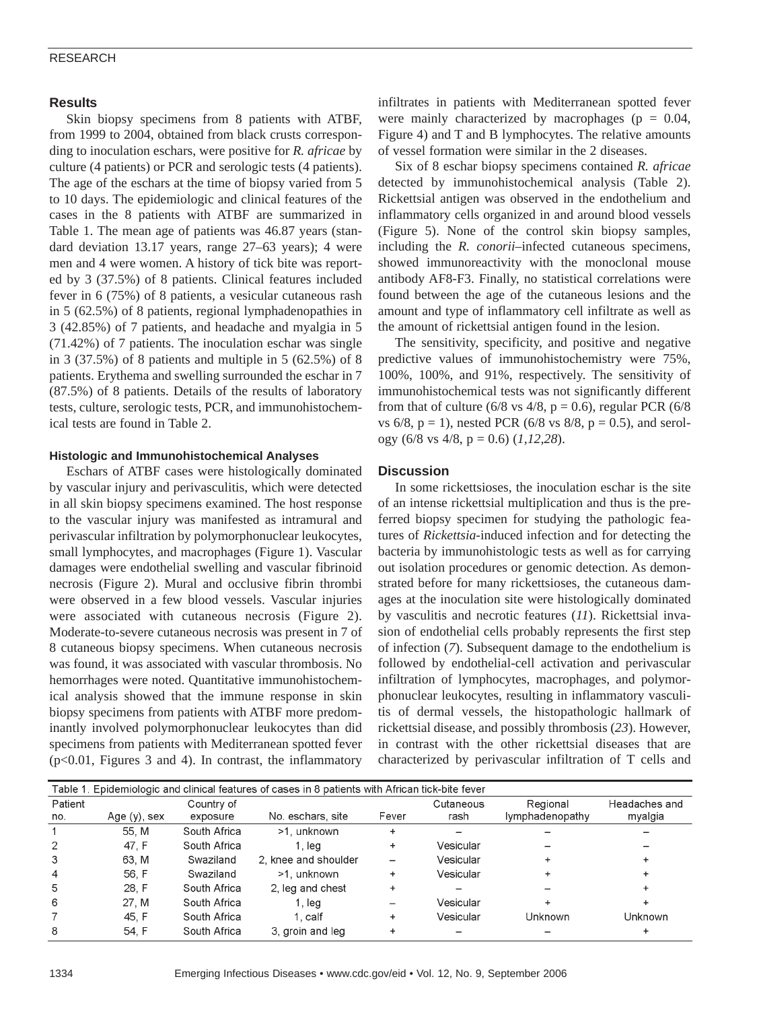### RESEARCH

# **Results**

Skin biopsy specimens from 8 patients with ATBF, from 1999 to 2004, obtained from black crusts corresponding to inoculation eschars, were positive for *R. africae* by culture (4 patients) or PCR and serologic tests (4 patients). The age of the eschars at the time of biopsy varied from 5 to 10 days. The epidemiologic and clinical features of the cases in the 8 patients with ATBF are summarized in Table 1. The mean age of patients was 46.87 years (standard deviation 13.17 years, range 27–63 years); 4 were men and 4 were women. A history of tick bite was reported by 3 (37.5%) of 8 patients. Clinical features included fever in 6 (75%) of 8 patients, a vesicular cutaneous rash in 5 (62.5%) of 8 patients, regional lymphadenopathies in 3 (42.85%) of 7 patients, and headache and myalgia in 5 (71.42%) of 7 patients. The inoculation eschar was single in 3 (37.5%) of 8 patients and multiple in 5 (62.5%) of 8 patients. Erythema and swelling surrounded the eschar in 7 (87.5%) of 8 patients. Details of the results of laboratory tests, culture, serologic tests, PCR, and immunohistochemical tests are found in Table 2.

#### **Histologic and Immunohistochemical Analyses**

Eschars of ATBF cases were histologically dominated by vascular injury and perivasculitis, which were detected in all skin biopsy specimens examined. The host response to the vascular injury was manifested as intramural and perivascular infiltration by polymorphonuclear leukocytes, small lymphocytes, and macrophages (Figure 1). Vascular damages were endothelial swelling and vascular fibrinoid necrosis (Figure 2). Mural and occlusive fibrin thrombi were observed in a few blood vessels. Vascular injuries were associated with cutaneous necrosis (Figure 2). Moderate-to-severe cutaneous necrosis was present in 7 of 8 cutaneous biopsy specimens. When cutaneous necrosis was found, it was associated with vascular thrombosis. No hemorrhages were noted. Quantitative immunohistochemical analysis showed that the immune response in skin biopsy specimens from patients with ATBF more predominantly involved polymorphonuclear leukocytes than did specimens from patients with Mediterranean spotted fever (p<0.01, Figures 3 and 4). In contrast, the inflammatory

infiltrates in patients with Mediterranean spotted fever were mainly characterized by macrophages ( $p = 0.04$ , Figure 4) and T and B lymphocytes. The relative amounts of vessel formation were similar in the 2 diseases.

Six of 8 eschar biopsy specimens contained *R. africae* detected by immunohistochemical analysis (Table 2). Rickettsial antigen was observed in the endothelium and inflammatory cells organized in and around blood vessels (Figure 5). None of the control skin biopsy samples, including the *R. conorii*–infected cutaneous specimens, showed immunoreactivity with the monoclonal mouse antibody AF8-F3. Finally, no statistical correlations were found between the age of the cutaneous lesions and the amount and type of inflammatory cell infiltrate as well as the amount of rickettsial antigen found in the lesion.

The sensitivity, specificity, and positive and negative predictive values of immunohistochemistry were 75%, 100%, 100%, and 91%, respectively. The sensitivity of immunohistochemical tests was not significantly different from that of culture (6/8 vs  $4/8$ , p = 0.6), regular PCR (6/8 vs  $6/8$ ,  $p = 1$ ), nested PCR ( $6/8$  vs  $8/8$ ,  $p = 0.5$ ), and serology (6/8 vs 4/8, p = 0.6) (*1,12,28*).

### **Discussion**

In some rickettsioses, the inoculation eschar is the site of an intense rickettsial multiplication and thus is the preferred biopsy specimen for studying the pathologic features of *Rickettsia*-induced infection and for detecting the bacteria by immunohistologic tests as well as for carrying out isolation procedures or genomic detection. As demonstrated before for many rickettsioses, the cutaneous damages at the inoculation site were histologically dominated by vasculitis and necrotic features (*11*). Rickettsial invasion of endothelial cells probably represents the first step of infection (*7*). Subsequent damage to the endothelium is followed by endothelial-cell activation and perivascular infiltration of lymphocytes, macrophages, and polymorphonuclear leukocytes, resulting in inflammatory vasculitis of dermal vessels, the histopathologic hallmark of rickettsial disease, and possibly thrombosis (*23*). However, in contrast with the other rickettsial diseases that are characterized by perivascular infiltration of T cells and

| Table 1. Epidemiologic and clinical features of cases in 8 patients with African tick-bite fever |                 |              |                      |       |           |                 |               |  |  |  |  |  |
|--------------------------------------------------------------------------------------------------|-----------------|--------------|----------------------|-------|-----------|-----------------|---------------|--|--|--|--|--|
| Patient                                                                                          |                 | Country of   |                      |       | Cutaneous | Regional        | Headaches and |  |  |  |  |  |
| no.                                                                                              | Age $(y)$ , sex | exposure     | No. eschars, site    | Fever | rash      | lymphadenopathy | myalgia       |  |  |  |  |  |
|                                                                                                  | 55. M           | South Africa | >1. unknown          | +     |           |                 |               |  |  |  |  |  |
| 2                                                                                                | 47. F           | South Africa | 1. lea               | +     | Vesicular |                 |               |  |  |  |  |  |
| 3                                                                                                | 63. M           | Swaziland    | 2. knee and shoulder |       | Vesicular |                 |               |  |  |  |  |  |
| 4                                                                                                | 56, F           | Swaziland    | >1, unknown          | +     | Vesicular |                 |               |  |  |  |  |  |
| 5                                                                                                | 28. F           | South Africa | 2. leg and chest     |       |           |                 |               |  |  |  |  |  |
| 6                                                                                                | 27. M           | South Africa | 1. lea               |       | Vesicular |                 |               |  |  |  |  |  |
|                                                                                                  | 45. F           | South Africa | 1. calf              | +     | Vesicular | Unknown         | Unknown       |  |  |  |  |  |
| 8                                                                                                | 54. F           | South Africa | 3. aroin and leg     |       |           |                 |               |  |  |  |  |  |
|                                                                                                  |                 |              |                      |       |           |                 |               |  |  |  |  |  |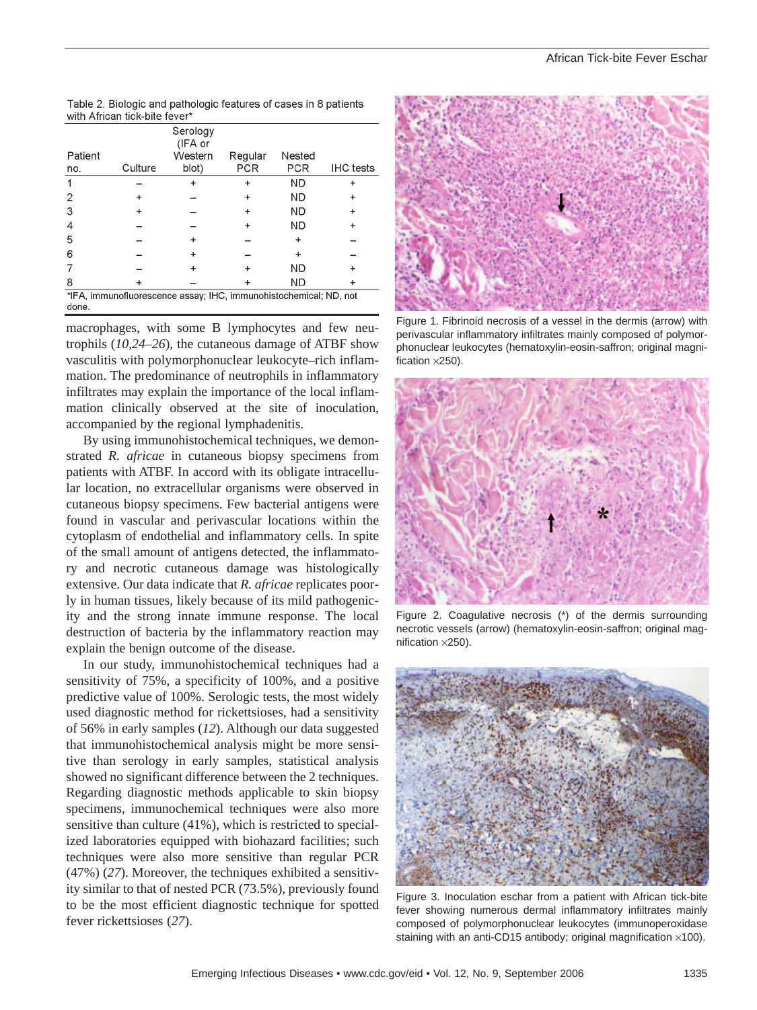|                                                                            |         | Serology<br>(IFA or |            |            |                  |  |  |  |  |
|----------------------------------------------------------------------------|---------|---------------------|------------|------------|------------------|--|--|--|--|
| Patient                                                                    |         | Western             | Regular    | Nested     |                  |  |  |  |  |
| no.                                                                        | Culture | blot)               | <b>PCR</b> | <b>PCR</b> | <b>IHC</b> tests |  |  |  |  |
|                                                                            |         | ٠                   |            | <b>ND</b>  |                  |  |  |  |  |
|                                                                            |         |                     |            | <b>ND</b>  |                  |  |  |  |  |
| З                                                                          |         |                     |            | ND         |                  |  |  |  |  |
| 4                                                                          |         |                     |            | ND         |                  |  |  |  |  |
| 5                                                                          |         | ٠                   |            |            |                  |  |  |  |  |
| 6                                                                          |         |                     |            |            |                  |  |  |  |  |
|                                                                            |         |                     |            | <b>ND</b>  |                  |  |  |  |  |
| 8                                                                          |         |                     |            | ND         |                  |  |  |  |  |
| *IFA, immunofluorescence assay, IHC, immunohistochemical, ND, not<br>done. |         |                     |            |            |                  |  |  |  |  |

Table 2. Biologic and pathologic features of cases in 8 patients with African tick-bite fever

macrophages, with some B lymphocytes and few neutrophils (*10,24–26*), the cutaneous damage of ATBF show vasculitis with polymorphonuclear leukocyte–rich inflammation. The predominance of neutrophils in inflammatory infiltrates may explain the importance of the local inflammation clinically observed at the site of inoculation, accompanied by the regional lymphadenitis.

By using immunohistochemical techniques, we demonstrated *R. africae* in cutaneous biopsy specimens from patients with ATBF. In accord with its obligate intracellular location, no extracellular organisms were observed in cutaneous biopsy specimens. Few bacterial antigens were found in vascular and perivascular locations within the cytoplasm of endothelial and inflammatory cells. In spite of the small amount of antigens detected, the inflammatory and necrotic cutaneous damage was histologically extensive. Our data indicate that *R. africae* replicates poorly in human tissues, likely because of its mild pathogenicity and the strong innate immune response. The local destruction of bacteria by the inflammatory reaction may explain the benign outcome of the disease.

In our study, immunohistochemical techniques had a sensitivity of 75%, a specificity of 100%, and a positive predictive value of 100%. Serologic tests, the most widely used diagnostic method for rickettsioses, had a sensitivity of 56% in early samples (*12*). Although our data suggested that immunohistochemical analysis might be more sensitive than serology in early samples, statistical analysis showed no significant difference between the 2 techniques. Regarding diagnostic methods applicable to skin biopsy specimens, immunochemical techniques were also more sensitive than culture (41%), which is restricted to specialized laboratories equipped with biohazard facilities; such techniques were also more sensitive than regular PCR (47%) (*27*). Moreover, the techniques exhibited a sensitivity similar to that of nested PCR (73.5%), previously found to be the most efficient diagnostic technique for spotted fever rickettsioses (*27*).



Figure 1. Fibrinoid necrosis of a vessel in the dermis (arrow) with perivascular inflammatory infiltrates mainly composed of polymorphonuclear leukocytes (hematoxylin-eosin-saffron; original magnification ×250).



Figure 2. Coagulative necrosis (\*) of the dermis surrounding necrotic vessels (arrow) (hematoxylin-eosin-saffron; original magnification ×250).



Figure 3. Inoculation eschar from a patient with African tick-bite fever showing numerous dermal inflammatory infiltrates mainly composed of polymorphonuclear leukocytes (immunoperoxidase staining with an anti-CD15 antibody; original magnification ×100).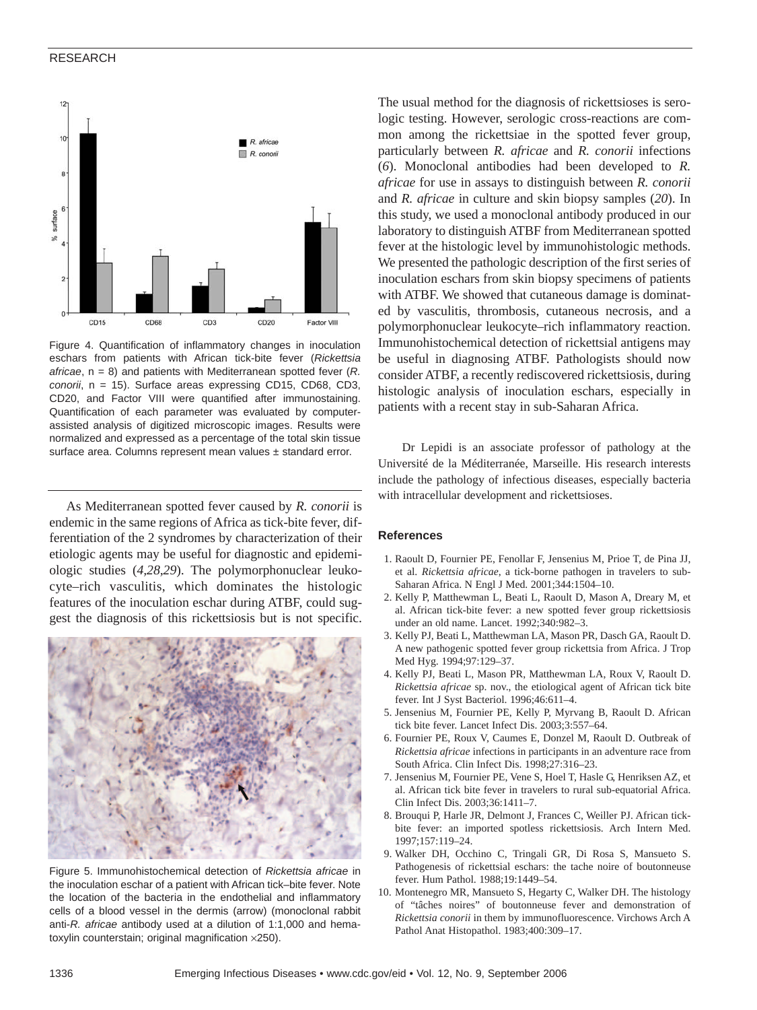#### RESEARCH



Figure 4. Quantification of inflammatory changes in inoculation eschars from patients with African tick-bite fever (*Rickettsia africae*, n = 8) and patients with Mediterranean spotted fever (*R. conorii*, n = 15). Surface areas expressing CD15, CD68, CD3, CD20, and Factor VIII were quantified after immunostaining. Quantification of each parameter was evaluated by computerassisted analysis of digitized microscopic images. Results were normalized and expressed as a percentage of the total skin tissue surface area. Columns represent mean values ± standard error.

As Mediterranean spotted fever caused by *R. conorii* is endemic in the same regions of Africa as tick-bite fever, differentiation of the 2 syndromes by characterization of their etiologic agents may be useful for diagnostic and epidemiologic studies (*4,28,29*). The polymorphonuclear leukocyte–rich vasculitis, which dominates the histologic features of the inoculation eschar during ATBF, could suggest the diagnosis of this rickettsiosis but is not specific.



Figure 5. Immunohistochemical detection of *Rickettsia africae* in the inoculation eschar of a patient with African tick–bite fever. Note the location of the bacteria in the endothelial and inflammatory cells of a blood vessel in the dermis (arrow) (monoclonal rabbit anti-*R. africae* antibody used at a dilution of 1:1,000 and hematoxylin counterstain; original magnification ×250).

The usual method for the diagnosis of rickettsioses is serologic testing. However, serologic cross-reactions are common among the rickettsiae in the spotted fever group, particularly between *R. africae* and *R. conorii* infections (*6*). Monoclonal antibodies had been developed to *R. africae* for use in assays to distinguish between *R. conorii* and *R. africae* in culture and skin biopsy samples (*20*). In this study, we used a monoclonal antibody produced in our laboratory to distinguish ATBF from Mediterranean spotted fever at the histologic level by immunohistologic methods. We presented the pathologic description of the first series of inoculation eschars from skin biopsy specimens of patients with ATBF. We showed that cutaneous damage is dominated by vasculitis, thrombosis, cutaneous necrosis, and a polymorphonuclear leukocyte–rich inflammatory reaction. Immunohistochemical detection of rickettsial antigens may be useful in diagnosing ATBF. Pathologists should now consider ATBF, a recently rediscovered rickettsiosis, during histologic analysis of inoculation eschars, especially in patients with a recent stay in sub-Saharan Africa.

Dr Lepidi is an associate professor of pathology at the Université de la Méditerranée, Marseille. His research interests include the pathology of infectious diseases, especially bacteria with intracellular development and rickettsioses.

#### **References**

- 1. Raoult D, Fournier PE, Fenollar F, Jensenius M, Prioe T, de Pina JJ, et al. *Rickettsia africae*, a tick-borne pathogen in travelers to sub-Saharan Africa. N Engl J Med. 2001;344:1504–10.
- 2. Kelly P, Matthewman L, Beati L, Raoult D, Mason A, Dreary M, et al. African tick-bite fever: a new spotted fever group rickettsiosis under an old name. Lancet. 1992;340:982–3.
- 3. Kelly PJ, Beati L, Matthewman LA, Mason PR, Dasch GA, Raoult D. A new pathogenic spotted fever group rickettsia from Africa. J Trop Med Hyg. 1994;97:129–37.
- 4. Kelly PJ, Beati L, Mason PR, Matthewman LA, Roux V, Raoult D. *Rickettsia africae* sp. nov., the etiological agent of African tick bite fever. Int J Syst Bacteriol. 1996;46:611–4.
- 5. Jensenius M, Fournier PE, Kelly P, Myrvang B, Raoult D. African tick bite fever. Lancet Infect Dis. 2003;3:557–64.
- 6. Fournier PE, Roux V, Caumes E, Donzel M, Raoult D. Outbreak of *Rickettsia africae* infections in participants in an adventure race from South Africa. Clin Infect Dis. 1998;27:316–23.
- 7. Jensenius M, Fournier PE, Vene S, Hoel T, Hasle G, Henriksen AZ, et al. African tick bite fever in travelers to rural sub-equatorial Africa. Clin Infect Dis. 2003;36:1411–7.
- 8. Brouqui P, Harle JR, Delmont J, Frances C, Weiller PJ. African tickbite fever: an imported spotless rickettsiosis. Arch Intern Med. 1997;157:119–24.
- 9. Walker DH, Occhino C, Tringali GR, Di Rosa S, Mansueto S. Pathogenesis of rickettsial eschars: the tache noire of boutonneuse fever. Hum Pathol. 1988;19:1449–54.
- 10. Montenegro MR, Mansueto S, Hegarty C, Walker DH. The histology of "tâches noires" of boutonneuse fever and demonstration of *Rickettsia conorii* in them by immunofluorescence. Virchows Arch A Pathol Anat Histopathol. 1983;400:309–17.